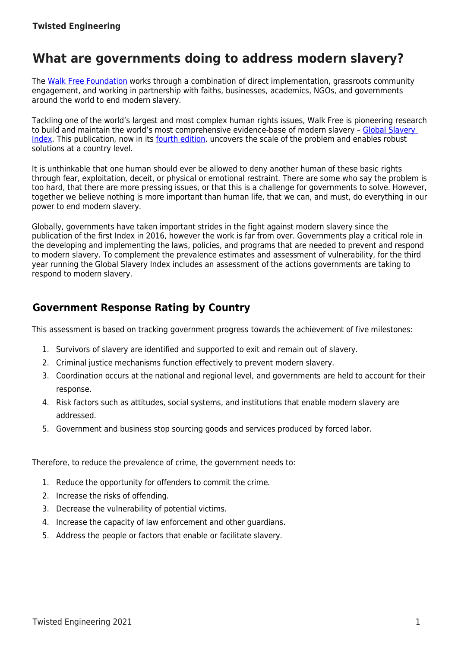# **What are governments doing to address modern slavery?**

The [Walk Free Foundation](https://www.walkfree.org/) works through a combination of direct implementation, grassroots community engagement, and working in partnership with faiths, businesses, academics, NGOs, and governments around the world to end modern slavery.

Tackling one of the world's largest and most complex human rights issues, Walk Free is pioneering research to build and maintain the world's most comprehensive evidence-base of modern slavery – [Global Slavery](https://www.globalslaveryindex.org/)  [Index.](https://www.globalslaveryindex.org/) This publication, now in its [fourth edition,](https://www.globalslaveryindex.org/) uncovers the scale of the problem and enables robust solutions at a country level.

It is unthinkable that one human should ever be allowed to deny another human of these basic rights through fear, exploitation, deceit, or physical or emotional restraint. There are some who say the problem is too hard, that there are more pressing issues, or that this is a challenge for governments to solve. However, together we believe nothing is more important than human life, that we can, and must, do everything in our power to end modern slavery.

Globally, governments have taken important strides in the fight against modern slavery since the publication of the first Index in 2016, however the work is far from over. Governments play a critical role in the developing and implementing the laws, policies, and programs that are needed to prevent and respond to modern slavery. To complement the prevalence estimates and assessment of vulnerability, for the third year running the Global Slavery Index includes an assessment of the actions governments are taking to respond to modern slavery.

### **Government Response Rating by Country**

This assessment is based on tracking government progress towards the achievement of five milestones:

- 1. Survivors of slavery are identified and supported to exit and remain out of slavery.
- 2. Criminal justice mechanisms function effectively to prevent modern slavery.
- 3. Coordination occurs at the national and regional level, and governments are held to account for their response.
- 4. Risk factors such as attitudes, social systems, and institutions that enable modern slavery are addressed.
- 5. Government and business stop sourcing goods and services produced by forced labor.

Therefore, to reduce the prevalence of crime, the government needs to:

- 1. Reduce the opportunity for offenders to commit the crime.
- 2. Increase the risks of offending.
- 3. Decrease the vulnerability of potential victims.
- 4. Increase the capacity of law enforcement and other guardians.
- 5. Address the people or factors that enable or facilitate slavery.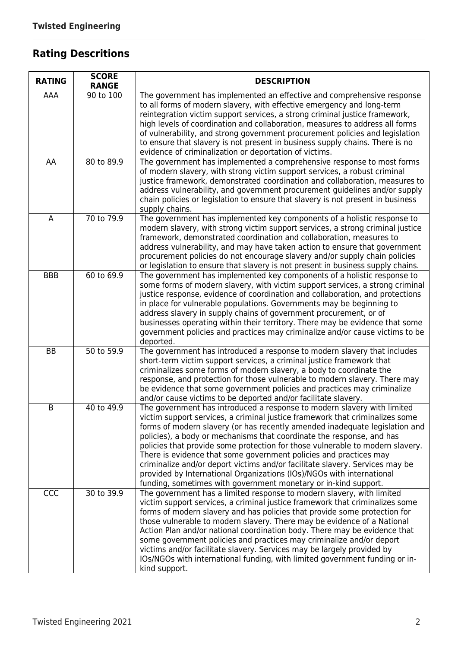# **Rating Descritions**

| <b>RATING</b> | <b>SCORE</b><br><b>RANGE</b> | <b>DESCRIPTION</b>                                                                                                                                                                                                                                                                                                                                                                                                                                                                                                                                                                                                                                                                                |
|---------------|------------------------------|---------------------------------------------------------------------------------------------------------------------------------------------------------------------------------------------------------------------------------------------------------------------------------------------------------------------------------------------------------------------------------------------------------------------------------------------------------------------------------------------------------------------------------------------------------------------------------------------------------------------------------------------------------------------------------------------------|
| AAA           | 90 to 100                    | The government has implemented an effective and comprehensive response<br>to all forms of modern slavery, with effective emergency and long-term<br>reintegration victim support services, a strong criminal justice framework,<br>high levels of coordination and collaboration, measures to address all forms<br>of vulnerability, and strong government procurement policies and legislation<br>to ensure that slavery is not present in business supply chains. There is no<br>evidence of criminalization or deportation of victims.                                                                                                                                                         |
| AA            | 80 to 89.9                   | The government has implemented a comprehensive response to most forms<br>of modern slavery, with strong victim support services, a robust criminal<br>justice framework, demonstrated coordination and collaboration, measures to<br>address vulnerability, and government procurement guidelines and/or supply<br>chain policies or legislation to ensure that slavery is not present in business<br>supply chains.                                                                                                                                                                                                                                                                              |
| A             | 70 to 79.9                   | The government has implemented key components of a holistic response to<br>modern slavery, with strong victim support services, a strong criminal justice<br>framework, demonstrated coordination and collaboration, measures to<br>address vulnerability, and may have taken action to ensure that government<br>procurement policies do not encourage slavery and/or supply chain policies<br>or legislation to ensure that slavery is not present in business supply chains.                                                                                                                                                                                                                   |
| <b>BBB</b>    | 60 to 69.9                   | The government has implemented key components of a holistic response to<br>some forms of modern slavery, with victim support services, a strong criminal<br>justice response, evidence of coordination and collaboration, and protections<br>in place for vulnerable populations. Governments may be beginning to<br>address slavery in supply chains of government procurement, or of<br>businesses operating within their territory. There may be evidence that some<br>government policies and practices may criminalize and/or cause victims to be<br>deported.                                                                                                                               |
| <b>BB</b>     | 50 to 59.9                   | The government has introduced a response to modern slavery that includes<br>short-term victim support services, a criminal justice framework that<br>criminalizes some forms of modern slavery, a body to coordinate the<br>response, and protection for those vulnerable to modern slavery. There may<br>be evidence that some government policies and practices may criminalize<br>and/or cause victims to be deported and/or facilitate slavery.                                                                                                                                                                                                                                               |
| B             | 40 to 49.9                   | The government has introduced a response to modern slavery with limited<br>victim support services, a criminal justice framework that criminalizes some<br>forms of modern slavery (or has recently amended inadequate legislation and<br>policies), a body or mechanisms that coordinate the response, and has<br>policies that provide some protection for those vulnerable to modern slavery.<br>There is evidence that some government policies and practices may<br>criminalize and/or deport victims and/or facilitate slavery. Services may be<br>provided by International Organizations (IOs)/NGOs with international<br>funding, sometimes with government monetary or in-kind support. |
| CCC           | 30 to 39.9                   | The government has a limited response to modern slavery, with limited<br>victim support services, a criminal justice framework that criminalizes some<br>forms of modern slavery and has policies that provide some protection for<br>those vulnerable to modern slavery. There may be evidence of a National<br>Action Plan and/or national coordination body. There may be evidence that<br>some government policies and practices may criminalize and/or deport<br>victims and/or facilitate slavery. Services may be largely provided by<br>IOs/NGOs with international funding, with limited government funding or in-<br>kind support.                                                      |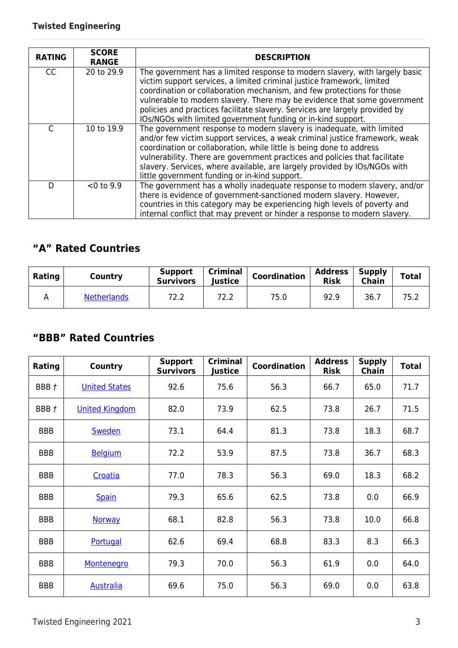| <b>RATING</b> | <b>SCORE</b><br><b>RANGE</b> | <b>DESCRIPTION</b>                                                                                                                                                                                                                                                                                                                                                                                                                                         |
|---------------|------------------------------|------------------------------------------------------------------------------------------------------------------------------------------------------------------------------------------------------------------------------------------------------------------------------------------------------------------------------------------------------------------------------------------------------------------------------------------------------------|
| <b>CC</b>     | 20 to 29.9                   | The government has a limited response to modern slavery, with largely basic<br>victim support services, a limited criminal justice framework, limited<br>coordination or collaboration mechanism, and few protections for those<br>vulnerable to modern slavery. There may be evidence that some government<br>policies and practices facilitate slavery. Services are largely provided by<br>IOs/NGOs with limited government funding or in-kind support. |
| C             | 10 to 19.9                   | The government response to modern slavery is inadequate, with limited<br>and/or few victim support services, a weak criminal justice framework, weak<br>coordination or collaboration, while little is being done to address<br>vulnerability. There are government practices and policies that facilitate<br>slavery. Services, where available, are largely provided by IOs/NGOs with<br>little government funding or in-kind support.                   |
| D             | $< 0$ to 9.9                 | The government has a wholly inadequate response to modern slavery, and/or<br>there is evidence of government-sanctioned modern slavery. However,<br>countries in this category may be experiencing high levels of poverty and<br>internal conflict that may prevent or hinder a response to modern slavery.                                                                                                                                                |

### **"A" Rated Countries**

| <b>Rating</b> | Country            | <b>Support</b><br><b>Survivors</b> | <b>Criminal</b><br><b>Justice</b> | <b>Coordination</b> | <b>Address</b><br><b>Risk</b> | <b>Supply</b><br><b>Chain</b> | <b>Total</b> |
|---------------|--------------------|------------------------------------|-----------------------------------|---------------------|-------------------------------|-------------------------------|--------------|
|               | <b>Netherlands</b> | 72.2                               | 72.2                              | 75.0                | 92.9                          | 36.7                          | 75.2         |

### **"BBB" Rated Countries**

| Rating     | <b>Country</b>        | <b>Support</b><br><b>Survivors</b> | <b>Criminal</b><br>Justice | Coordination | <b>Address</b><br><b>Risk</b> | <b>Supply</b><br><b>Chain</b> | <b>Total</b> |
|------------|-----------------------|------------------------------------|----------------------------|--------------|-------------------------------|-------------------------------|--------------|
| BBB t      | <b>United States</b>  | 92.6                               | 75.6                       | 56.3         | 66.7                          | 65.0                          | 71.7         |
| BBB t      | <b>United Kingdom</b> | 82.0                               | 73.9                       | 62.5         | 73.8                          | 26.7                          | 71.5         |
| <b>BBB</b> | <b>Sweden</b>         | 73.1                               | 64.4                       | 81.3         | 73.8                          | 18.3                          | 68.7         |
| <b>BBB</b> | <b>Belgium</b>        | 72.2                               | 53.9                       | 87.5         | 73.8                          | 36.7                          | 68.3         |
| <b>BBB</b> | Croatia               | 77.0                               | 78.3                       | 56.3         | 69.0                          | 18.3                          | 68.2         |
| <b>BBB</b> | <b>Spain</b>          | 79.3                               | 65.6                       | 62.5         | 73.8                          | 0.0                           | 66.9         |
| <b>BBB</b> | <b>Norway</b>         | 68.1                               | 82.8                       | 56.3         | 73.8                          | 10.0                          | 66.8         |
| <b>BBB</b> | Portugal              | 62.6                               | 69.4                       | 68.8         | 83.3                          | 8.3                           | 66.3         |
| <b>BBB</b> | Montenegro            | 79.3                               | 70.0                       | 56.3         | 61.9                          | 0.0                           | 64.0         |
| <b>BBB</b> | <b>Australia</b>      | 69.6                               | 75.0                       | 56.3         | 69.0                          | 0.0                           | 63.8         |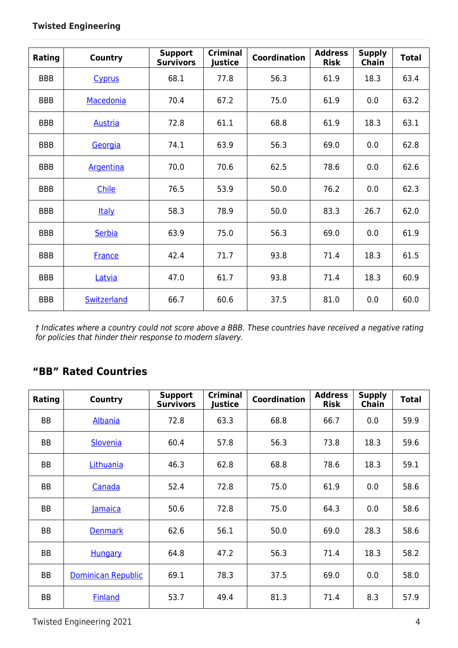| Rating     | <b>Country</b>   | <b>Support</b><br><b>Survivors</b> | <b>Criminal</b><br>Justice | <b>Coordination</b> | <b>Address</b><br><b>Risk</b> | <b>Supply</b><br>Chain | <b>Total</b> |
|------------|------------------|------------------------------------|----------------------------|---------------------|-------------------------------|------------------------|--------------|
| <b>BBB</b> | <b>Cyprus</b>    | 68.1                               | 77.8                       | 56.3                | 61.9                          | 18.3                   | 63.4         |
| <b>BBB</b> | Macedonia        | 70.4                               | 67.2                       | 75.0                | 61.9                          | 0.0                    | 63.2         |
| <b>BBB</b> | <b>Austria</b>   | 72.8                               | 61.1                       | 68.8                | 61.9                          | 18.3                   | 63.1         |
| <b>BBB</b> | Georgia          | 74.1                               | 63.9                       | 56.3                | 69.0                          | 0.0                    | 62.8         |
| <b>BBB</b> | <b>Argentina</b> | 70.0                               | 70.6                       | 62.5                | 78.6                          | 0.0                    | 62.6         |
| <b>BBB</b> | Chile            | 76.5                               | 53.9                       | 50.0                | 76.2                          | 0.0                    | 62.3         |
| <b>BBB</b> | <b>Italy</b>     | 58.3                               | 78.9                       | 50.0                | 83.3                          | 26.7                   | 62.0         |
| <b>BBB</b> | Serbia           | 63.9                               | 75.0                       | 56.3                | 69.0                          | 0.0                    | 61.9         |
| <b>BBB</b> | <b>France</b>    | 42.4                               | 71.7                       | 93.8                | 71.4                          | 18.3                   | 61.5         |
| <b>BBB</b> | Latvia           | 47.0                               | 61.7                       | 93.8                | 71.4                          | 18.3                   | 60.9         |
| <b>BBB</b> | Switzerland      | 66.7                               | 60.6                       | 37.5                | 81.0                          | 0.0                    | 60.0         |

*† Indicates where a country could not score above a BBB. These countries have received a negative rating for policies that hinder their response to modern slavery.*

### **"BB" Rated Countries**

| Rating    | Country                   | <b>Support</b><br><b>Survivors</b> | <b>Criminal</b><br>Justice | <b>Coordination</b> | <b>Address</b><br><b>Risk</b> | <b>Supply</b><br><b>Chain</b> | <b>Total</b> |
|-----------|---------------------------|------------------------------------|----------------------------|---------------------|-------------------------------|-------------------------------|--------------|
| <b>BB</b> | Albania                   | 72.8                               | 63.3                       | 68.8                | 66.7                          | 0.0                           | 59.9         |
| <b>BB</b> | Slovenia                  | 60.4                               | 57.8                       | 56.3                | 73.8                          | 18.3                          | 59.6         |
| <b>BB</b> | Lithuania                 | 46.3                               | 62.8                       | 68.8                | 78.6                          | 18.3                          | 59.1         |
| <b>BB</b> | Canada                    | 52.4                               | 72.8                       | 75.0                | 61.9                          | 0.0                           | 58.6         |
| <b>BB</b> | <b>Jamaica</b>            | 50.6                               | 72.8                       | 75.0                | 64.3                          | 0.0                           | 58.6         |
| BB        | <b>Denmark</b>            | 62.6                               | 56.1                       | 50.0                | 69.0                          | 28.3                          | 58.6         |
| <b>BB</b> | <b>Hungary</b>            | 64.8                               | 47.2                       | 56.3                | 71.4                          | 18.3                          | 58.2         |
| BB        | <b>Dominican Republic</b> | 69.1                               | 78.3                       | 37.5                | 69.0                          | 0.0                           | 58.0         |
| <b>BB</b> | <b>Finland</b>            | 53.7                               | 49.4                       | 81.3                | 71.4                          | 8.3                           | 57.9         |

Twisted Engineering 2021 4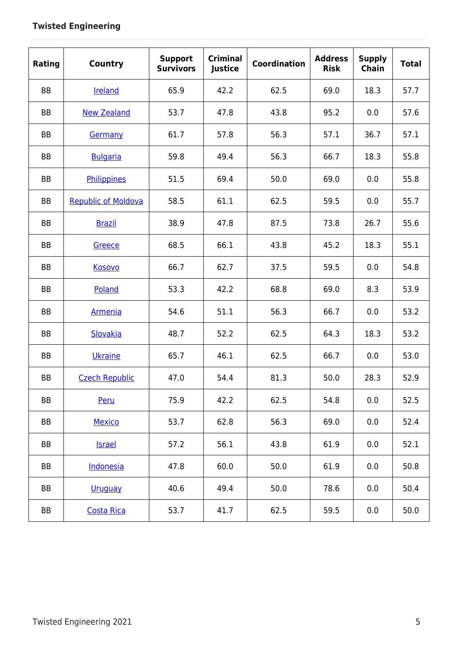| Rating    | <b>Country</b>             | <b>Support</b><br><b>Survivors</b> | <b>Criminal</b><br>Justice | <b>Coordination</b> | <b>Address</b><br><b>Risk</b> | <b>Supply</b><br>Chain | <b>Total</b> |
|-----------|----------------------------|------------------------------------|----------------------------|---------------------|-------------------------------|------------------------|--------------|
| <b>BB</b> | Ireland                    | 65.9                               | 42.2                       | 62.5                | 69.0                          | 18.3                   | 57.7         |
| <b>BB</b> | <b>New Zealand</b>         | 53.7                               | 47.8                       | 43.8                | 95.2                          | 0.0                    | 57.6         |
| <b>BB</b> | Germany                    | 61.7                               | 57.8                       | 56.3                | 57.1                          | 36.7                   | 57.1         |
| <b>BB</b> | <b>Bulgaria</b>            | 59.8                               | 49.4                       | 56.3                | 66.7                          | 18.3                   | 55.8         |
| <b>BB</b> | Philippines                | 51.5                               | 69.4                       | 50.0                | 69.0                          | 0.0                    | 55.8         |
| <b>BB</b> | <b>Republic of Moldova</b> | 58.5                               | 61.1                       | 62.5                | 59.5                          | 0.0                    | 55.7         |
| <b>BB</b> | <b>Brazil</b>              | 38.9                               | 47.8                       | 87.5                | 73.8                          | 26.7                   | 55.6         |
| <b>BB</b> | Greece                     | 68.5                               | 66.1                       | 43.8                | 45.2                          | 18.3                   | 55.1         |
| <b>BB</b> | <b>Kosovo</b>              | 66.7                               | 62.7                       | 37.5                | 59.5                          | 0.0                    | 54.8         |
| <b>BB</b> | Poland                     | 53.3                               | 42.2                       | 68.8                | 69.0                          | 8.3                    | 53.9         |
| <b>BB</b> | <b>Armenia</b>             | 54.6                               | 51.1                       | 56.3                | 66.7                          | 0.0                    | 53.2         |
| <b>BB</b> | Slovakia                   | 48.7                               | 52.2                       | 62.5                | 64.3                          | 18.3                   | 53.2         |
| <b>BB</b> | Ukraine                    | 65.7                               | 46.1                       | 62.5                | 66.7                          | 0.0                    | 53.0         |
| <b>BB</b> | <b>Czech Republic</b>      | 47.0                               | 54.4                       | 81.3                | 50.0                          | 28.3                   | 52.9         |
| BB        | Peru                       | 75.9                               | 42.2                       | 62.5                | 54.8                          | 0.0                    | 52.5         |
| BB        | <b>Mexico</b>              | 53.7                               | 62.8                       | 56.3                | 69.0                          | 0.0                    | 52.4         |
| BB        | <b>Israel</b>              | 57.2                               | 56.1                       | 43.8                | 61.9                          | 0.0                    | 52.1         |
| BB        | Indonesia                  | 47.8                               | 60.0                       | 50.0                | 61.9                          | 0.0                    | 50.8         |
| BB        | <b>Uruguay</b>             | 40.6                               | 49.4                       | 50.0                | 78.6                          | 0.0                    | 50.4         |
| BB        | <b>Costa Rica</b>          | 53.7                               | 41.7                       | 62.5                | 59.5                          | 0.0                    | 50.0         |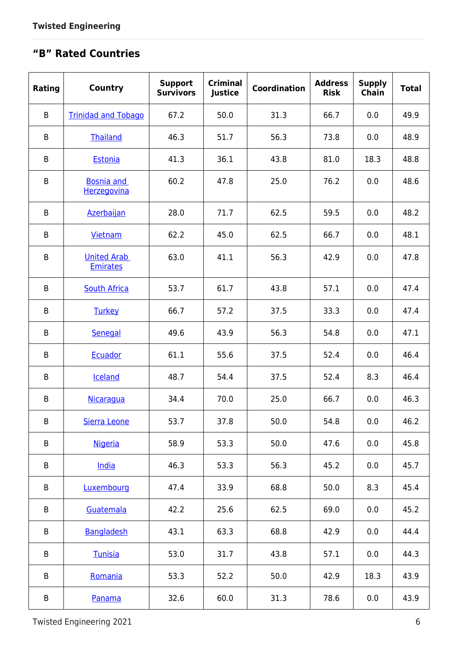# **"B" Rated Countries**

| Rating  | <b>Country</b>                        | <b>Support</b><br><b>Survivors</b> | <b>Criminal</b><br><b>Justice</b> | <b>Coordination</b> | <b>Address</b><br><b>Risk</b> | <b>Supply</b><br>Chain | <b>Total</b> |
|---------|---------------------------------------|------------------------------------|-----------------------------------|---------------------|-------------------------------|------------------------|--------------|
| $\sf B$ | <b>Trinidad and Tobago</b>            | 67.2                               | 50.0                              | 31.3                | 66.7                          | 0.0                    | 49.9         |
| B       | Thailand                              | 46.3                               | 51.7                              | 56.3                | 73.8                          | 0.0                    | 48.9         |
| B       | Estonia                               | 41.3                               | 36.1                              | 43.8                | 81.0                          | 18.3                   | 48.8         |
| B       | <b>Bosnia and</b><br>Herzegovina      | 60.2                               | 47.8                              | 25.0                | 76.2                          | 0.0                    | 48.6         |
| $\sf B$ | <b>Azerbaijan</b>                     | 28.0                               | 71.7                              | 62.5                | 59.5                          | 0.0                    | 48.2         |
| $\sf B$ | Vietnam                               | 62.2                               | 45.0                              | 62.5                | 66.7                          | 0.0                    | 48.1         |
| $\sf B$ | <b>United Arab</b><br><b>Emirates</b> | 63.0                               | 41.1                              | 56.3                | 42.9                          | 0.0                    | 47.8         |
| B       | <b>South Africa</b>                   | 53.7                               | 61.7                              | 43.8                | 57.1                          | 0.0                    | 47.4         |
| B       | <b>Turkey</b>                         | 66.7                               | 57.2                              | 37.5                | 33.3                          | 0.0                    | 47.4         |
| B       | Senegal                               | 49.6                               | 43.9                              | 56.3                | 54.8                          | 0.0                    | 47.1         |
| $\sf B$ | Ecuador                               | 61.1                               | 55.6                              | 37.5                | 52.4                          | 0.0                    | 46.4         |
| B       | Iceland                               | 48.7                               | 54.4                              | 37.5                | 52.4                          | 8.3                    | 46.4         |
| B       | Nicaragua                             | 34.4                               | 70.0                              | 25.0                | 66.7                          | 0.0                    | 46.3         |
| B       | Sierra Leone                          | 53.7                               | 37.8                              | 50.0                | 54.8                          | 0.0                    | 46.2         |
| B       | <b>Nigeria</b>                        | 58.9                               | 53.3                              | 50.0                | 47.6                          | 0.0                    | 45.8         |
| B       | India                                 | 46.3                               | 53.3                              | 56.3                | 45.2                          | 0.0                    | 45.7         |
| B       | Luxembourg                            | 47.4                               | 33.9                              | 68.8                | 50.0                          | 8.3                    | 45.4         |
| B       | Guatemala                             | 42.2                               | 25.6                              | 62.5                | 69.0                          | 0.0                    | 45.2         |
| B       | Bangladesh                            | 43.1                               | 63.3                              | 68.8                | 42.9                          | 0.0                    | 44.4         |
| B       | Tunisia                               | 53.0                               | 31.7                              | 43.8                | 57.1                          | 0.0                    | 44.3         |
| B       | Romania                               | 53.3                               | 52.2                              | 50.0                | 42.9                          | 18.3                   | 43.9         |
| B       | Panama                                | 32.6                               | 60.0                              | 31.3                | 78.6                          | 0.0                    | 43.9         |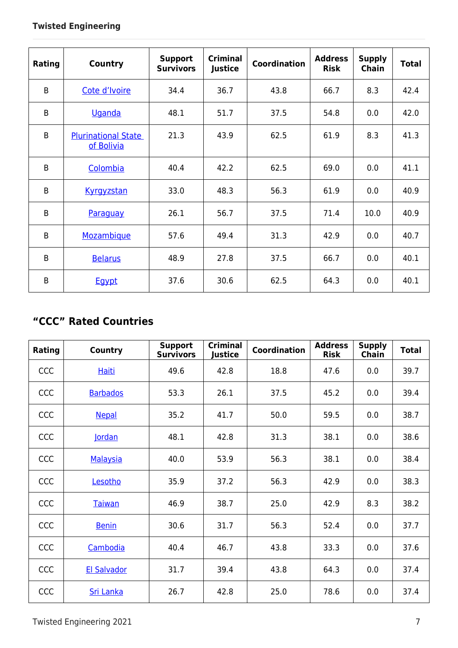| Rating         | <b>Country</b>                           | <b>Support</b><br><b>Survivors</b> | <b>Criminal</b><br>Justice | <b>Coordination</b> | <b>Address</b><br><b>Risk</b> | <b>Supply</b><br><b>Chain</b> | <b>Total</b> |
|----------------|------------------------------------------|------------------------------------|----------------------------|---------------------|-------------------------------|-------------------------------|--------------|
| B              | Cote d'Ivoire                            | 34.4                               | 36.7                       | 43.8                | 66.7                          | 8.3                           | 42.4         |
| B              | <b>Uganda</b>                            | 48.1                               | 51.7                       | 37.5                | 54.8                          | 0.0                           | 42.0         |
| $\overline{B}$ | <b>Plurinational State</b><br>of Bolivia | 21.3                               | 43.9                       | 62.5                | 61.9                          | 8.3                           | 41.3         |
| B              | Colombia                                 | 40.4                               | 42.2                       | 62.5                | 69.0                          | 0.0                           | 41.1         |
| B              | Kyrgyzstan                               | 33.0                               | 48.3                       | 56.3                | 61.9                          | 0.0                           | 40.9         |
| B              | Paraguay                                 | 26.1                               | 56.7                       | 37.5                | 71.4                          | 10.0                          | 40.9         |
| B              | Mozambique                               | 57.6                               | 49.4                       | 31.3                | 42.9                          | 0.0                           | 40.7         |
| B              | <b>Belarus</b>                           | 48.9                               | 27.8                       | 37.5                | 66.7                          | 0.0                           | 40.1         |
| B              | <b>Egypt</b>                             | 37.6                               | 30.6                       | 62.5                | 64.3                          | 0.0                           | 40.1         |

# **"CCC" Rated Countries**

| Rating     | <b>Country</b>     | <b>Support</b><br><b>Survivors</b> | <b>Criminal</b><br>lustice | <b>Coordination</b> | <b>Address</b><br><b>Risk</b> | <b>Supply</b><br><b>Chain</b> | <b>Total</b> |
|------------|--------------------|------------------------------------|----------------------------|---------------------|-------------------------------|-------------------------------|--------------|
| <b>CCC</b> | <b>Haiti</b>       | 49.6                               | 42.8                       | 18.8                | 47.6                          | 0.0                           | 39.7         |
| CCC        | <b>Barbados</b>    | 53.3                               | 26.1                       | 37.5                | 45.2                          | 0.0                           | 39.4         |
| <b>CCC</b> | <b>Nepal</b>       | 35.2                               | 41.7                       | 50.0                | 59.5                          | 0.0                           | 38.7         |
| CCC        | <b>lordan</b>      | 48.1                               | 42.8                       | 31.3                | 38.1                          | 0.0                           | 38.6         |
| <b>CCC</b> | <b>Malaysia</b>    | 40.0                               | 53.9                       | 56.3                | 38.1                          | 0.0                           | 38.4         |
| CCC        | Lesotho            | 35.9                               | 37.2                       | 56.3                | 42.9                          | 0.0                           | 38.3         |
| CCC        | Taiwan             | 46.9                               | 38.7                       | 25.0                | 42.9                          | 8.3                           | 38.2         |
| CCC        | <b>Benin</b>       | 30.6                               | 31.7                       | 56.3                | 52.4                          | 0.0                           | 37.7         |
| <b>CCC</b> | Cambodia           | 40.4                               | 46.7                       | 43.8                | 33.3                          | 0.0                           | 37.6         |
| <b>CCC</b> | <b>El Salvador</b> | 31.7                               | 39.4                       | 43.8                | 64.3                          | 0.0                           | 37.4         |
| CCC        | <b>Sri Lanka</b>   | 26.7                               | 42.8                       | 25.0                | 78.6                          | 0.0                           | 37.4         |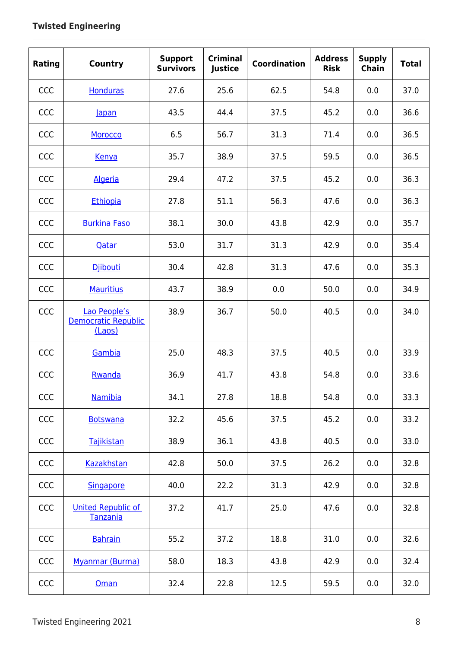| Rating | <b>Country</b>                                | <b>Support</b><br><b>Survivors</b> | <b>Criminal</b><br>Justice | <b>Coordination</b> | <b>Address</b><br><b>Risk</b> | <b>Supply</b><br><b>Chain</b> | <b>Total</b> |
|--------|-----------------------------------------------|------------------------------------|----------------------------|---------------------|-------------------------------|-------------------------------|--------------|
| CCC    | <b>Honduras</b>                               | 27.6                               | 25.6                       | 62.5                | 54.8                          | 0.0                           | 37.0         |
| CCC    | lapan                                         | 43.5                               | 44.4                       | 37.5                | 45.2                          | 0.0                           | 36.6         |
| CCC    | Morocco                                       | 6.5                                | 56.7                       | 31.3                | 71.4                          | 0.0                           | 36.5         |
| CCC    | Kenya                                         | 35.7                               | 38.9                       | 37.5                | 59.5                          | 0.0                           | 36.5         |
| CCC    | <b>Algeria</b>                                | 29.4                               | 47.2                       | 37.5                | 45.2                          | 0.0                           | 36.3         |
| CCC    | Ethiopia                                      | 27.8                               | 51.1                       | 56.3                | 47.6                          | 0.0                           | 36.3         |
| CCC    | <b>Burkina Faso</b>                           | 38.1                               | 30.0                       | 43.8                | 42.9                          | 0.0                           | 35.7         |
| CCC    | Qatar                                         | 53.0                               | 31.7                       | 31.3                | 42.9                          | 0.0                           | 35.4         |
| CCC    | <b>Diibouti</b>                               | 30.4                               | 42.8                       | 31.3                | 47.6                          | 0.0                           | 35.3         |
| CCC    | <b>Mauritius</b>                              | 43.7                               | 38.9                       | 0.0                 | 50.0                          | 0.0                           | 34.9         |
| CCC    | Lao People's<br>Democratic Republic<br>(Laos) | 38.9                               | 36.7                       | 50.0                | 40.5                          | 0.0                           | 34.0         |
| CCC    | Gambia                                        | 25.0                               | 48.3                       | 37.5                | 40.5                          | 0.0                           | 33.9         |
| CCC    | Rwanda                                        | 36.9                               | 41.7                       | 43.8                | 54.8                          | 0.0                           | 33.6         |
| CCC    | <b>Namibia</b>                                | 34.1                               | 27.8                       | 18.8                | 54.8                          | 0.0                           | 33.3         |
| CCC    | <b>Botswana</b>                               | 32.2                               | 45.6                       | 37.5                | 45.2                          | 0.0                           | 33.2         |
| CCC    | Tajikistan                                    | 38.9                               | 36.1                       | 43.8                | 40.5                          | 0.0                           | 33.0         |
| CCC    | Kazakhstan                                    | 42.8                               | 50.0                       | 37.5                | 26.2                          | 0.0                           | 32.8         |
| CCC    | <b>Singapore</b>                              | 40.0                               | 22.2                       | 31.3                | 42.9                          | 0.0                           | 32.8         |
| CCC    | <b>United Republic of</b><br>Tanzania         | 37.2                               | 41.7                       | 25.0                | 47.6                          | 0.0                           | 32.8         |
| CCC    | <b>Bahrain</b>                                | 55.2                               | 37.2                       | 18.8                | 31.0                          | 0.0                           | 32.6         |
| CCC    | Myanmar (Burma)                               | 58.0                               | 18.3                       | 43.8                | 42.9                          | 0.0                           | 32.4         |
| CCC    | Oman                                          | 32.4                               | 22.8                       | 12.5                | 59.5                          | 0.0                           | 32.0         |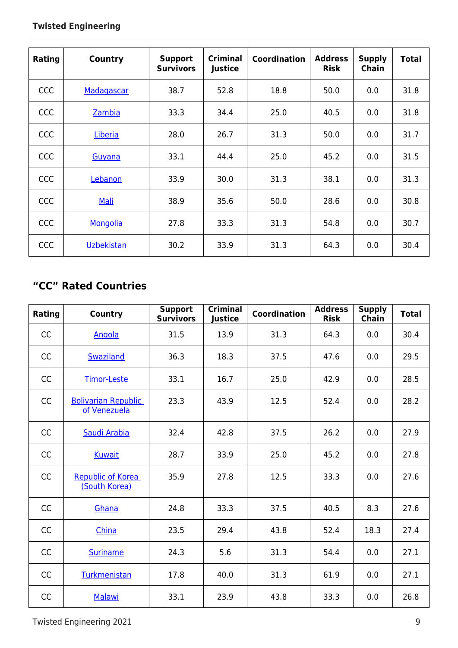| Rating     | Country           | <b>Support</b><br><b>Survivors</b> | <b>Criminal</b><br>Justice | <b>Coordination</b> | <b>Address</b><br><b>Risk</b> | <b>Supply</b><br><b>Chain</b> | <b>Total</b> |
|------------|-------------------|------------------------------------|----------------------------|---------------------|-------------------------------|-------------------------------|--------------|
| CCC        | Madagascar        | 38.7                               | 52.8                       | 18.8                | 50.0                          | 0.0                           | 31.8         |
| CCC        | Zambia            | 33.3                               | 34.4                       | 25.0                | 40.5                          | 0.0                           | 31.8         |
| CCC        | Liberia           | 28.0                               | 26.7                       | 31.3                | 50.0                          | 0.0                           | 31.7         |
| <b>CCC</b> | Guvana            | 33.1                               | 44.4                       | 25.0                | 45.2                          | 0.0                           | 31.5         |
| <b>CCC</b> | Lebanon           | 33.9                               | 30.0                       | 31.3                | 38.1                          | 0.0                           | 31.3         |
| CCC        | Mali              | 38.9                               | 35.6                       | 50.0                | 28.6                          | 0.0                           | 30.8         |
| CCC        | Mongolia          | 27.8                               | 33.3                       | 31.3                | 54.8                          | 0.0                           | 30.7         |
| CCC        | <b>Uzbekistan</b> | 30.2                               | 33.9                       | 31.3                | 64.3                          | 0.0                           | 30.4         |

## **"CC" Rated Countries**

| Rating    | <b>Country</b>                             | <b>Support</b><br><b>Survivors</b> | <b>Criminal</b><br>Justice | <b>Coordination</b> | <b>Address</b><br><b>Risk</b> | <b>Supply</b><br><b>Chain</b> | <b>Total</b> |
|-----------|--------------------------------------------|------------------------------------|----------------------------|---------------------|-------------------------------|-------------------------------|--------------|
| CC        | Angola                                     | 31.5                               | 13.9                       | 31.3                | 64.3                          | 0.0                           | 30.4         |
| CC        | <b>Swaziland</b>                           | 36.3                               | 18.3                       | 37.5                | 47.6                          | 0.0                           | 29.5         |
| CC        | <b>Timor-Leste</b>                         | 33.1                               | 16.7                       | 25.0                | 42.9                          | 0.0                           | 28.5         |
| CC        | <b>Bolivarian Republic</b><br>of Venezuela | 23.3                               | 43.9                       | 12.5                | 52.4                          | 0.0                           | 28.2         |
| CC        | Saudi Arabia                               | 32.4                               | 42.8                       | 37.5                | 26.2                          | 0.0                           | 27.9         |
| CC        | <b>Kuwait</b>                              | 28.7                               | 33.9                       | 25.0                | 45.2                          | 0.0                           | 27.8         |
| <b>CC</b> | <b>Republic of Korea</b><br>(South Korea)  | 35.9                               | 27.8                       | 12.5                | 33.3                          | 0.0                           | 27.6         |
| CC        | Ghana                                      | 24.8                               | 33.3                       | 37.5                | 40.5                          | 8.3                           | 27.6         |
| CC        | China                                      | 23.5                               | 29.4                       | 43.8                | 52.4                          | 18.3                          | 27.4         |
| CC        | <b>Suriname</b>                            | 24.3                               | 5.6                        | 31.3                | 54.4                          | 0.0                           | 27.1         |
| CC        | Turkmenistan                               | 17.8                               | 40.0                       | 31.3                | 61.9                          | 0.0                           | 27.1         |
| CC        | <b>Malawi</b>                              | 33.1                               | 23.9                       | 43.8                | 33.3                          | 0.0                           | 26.8         |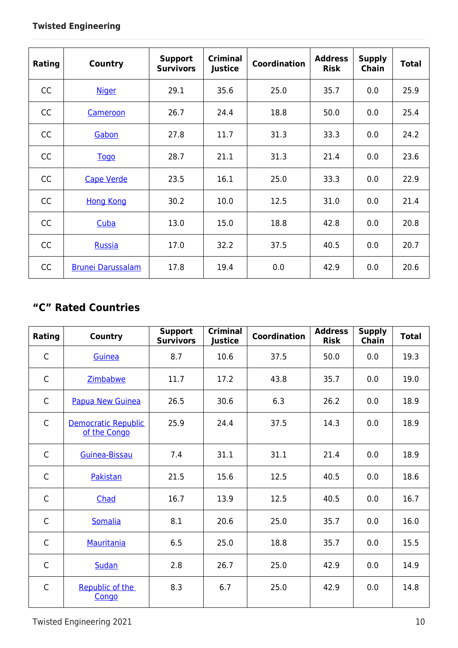| Rating | <b>Country</b>           | <b>Support</b><br><b>Survivors</b> | <b>Criminal</b><br>Justice | <b>Coordination</b> | <b>Address</b><br><b>Risk</b> | <b>Supply</b><br>Chain | <b>Total</b> |
|--------|--------------------------|------------------------------------|----------------------------|---------------------|-------------------------------|------------------------|--------------|
| CC     | <b>Niger</b>             | 29.1                               | 35.6                       | 25.0                | 35.7                          | 0.0                    | 25.9         |
| CC     | Cameroon                 | 26.7                               | 24.4                       | 18.8                | 50.0                          | 0.0                    | 25.4         |
| CC     | Gabon                    | 27.8                               | 11.7                       | 31.3                | 33.3                          | 0.0                    | 24.2         |
| CC     | Togo                     | 28.7                               | 21.1                       | 31.3                | 21.4                          | 0.0                    | 23.6         |
| CC     | <b>Cape Verde</b>        | 23.5                               | 16.1                       | 25.0                | 33.3                          | 0.0                    | 22.9         |
| CC     | <b>Hong Kong</b>         | 30.2                               | 10.0                       | 12.5                | 31.0                          | 0.0                    | 21.4         |
| CC     | Cuba                     | 13.0                               | 15.0                       | 18.8                | 42.8                          | 0.0                    | 20.8         |
| CC     | Russia                   | 17.0                               | 32.2                       | 37.5                | 40.5                          | 0.0                    | 20.7         |
| CC     | <b>Brunei Darussalam</b> | 17.8                               | 19.4                       | 0.0                 | 42.9                          | 0.0                    | 20.6         |

### **"C" Rated Countries**

| Rating       | <b>Country</b>                             | <b>Support</b><br><b>Survivors</b> | <b>Criminal</b><br>Justice | <b>Coordination</b> | <b>Address</b><br><b>Risk</b> | <b>Supply</b><br><b>Chain</b> | <b>Total</b> |
|--------------|--------------------------------------------|------------------------------------|----------------------------|---------------------|-------------------------------|-------------------------------|--------------|
| $\mathsf{C}$ | Guinea                                     | 8.7                                | 10.6                       | 37.5                | 50.0                          | 0.0                           | 19.3         |
| $\mathsf{C}$ | Zimbabwe                                   | 11.7                               | 17.2                       | 43.8                | 35.7                          | 0.0                           | 19.0         |
| $\mathsf{C}$ | <b>Papua New Guinea</b>                    | 26.5                               | 30.6                       | 6.3                 | 26.2                          | 0.0                           | 18.9         |
| $\mathsf{C}$ | <b>Democratic Republic</b><br>of the Congo | 25.9                               | 24.4                       | 37.5                | 14.3                          | 0.0                           | 18.9         |
| $\mathsf{C}$ | Guinea-Bissau                              | 7.4                                | 31.1                       | 31.1                | 21.4                          | 0.0                           | 18.9         |
| $\mathsf{C}$ | Pakistan                                   | 21.5                               | 15.6                       | 12.5                | 40.5                          | 0.0                           | 18.6         |
| $\mathsf{C}$ | Chad                                       | 16.7                               | 13.9                       | 12.5                | 40.5                          | 0.0                           | 16.7         |
| $\mathsf{C}$ | <b>Somalia</b>                             | 8.1                                | 20.6                       | 25.0                | 35.7                          | 0.0                           | 16.0         |
| $\mathsf{C}$ | Mauritania                                 | 6.5                                | 25.0                       | 18.8                | 35.7                          | 0.0                           | 15.5         |
| $\mathsf{C}$ | <b>Sudan</b>                               | 2.8                                | 26.7                       | 25.0                | 42.9                          | 0.0                           | 14.9         |
| $\mathsf{C}$ | Republic of the<br>Congo                   | 8.3                                | 6.7                        | 25.0                | 42.9                          | 0.0                           | 14.8         |